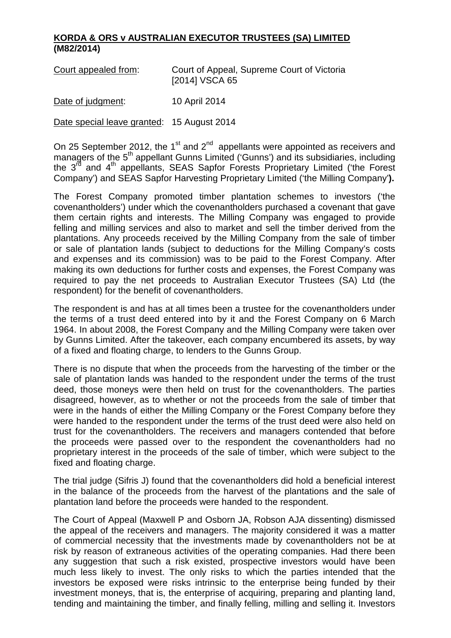## **KORDA & ORS v AUSTRALIAN EXECUTOR TRUSTEES (SA) LIMITED (M82/2014)**

| Court appealed from: | Court of Appeal, Supreme Court of Victoria |
|----------------------|--------------------------------------------|
|                      | [2014] VSCA 65                             |
|                      |                                            |

Date of judgment: 10 April 2014

Date special leave granted: 15 August 2014

On 25 September 2012, the 1<sup>st</sup> and 2<sup>nd</sup> appellants were appointed as receivers and managers of the 5<sup>th</sup> appellant Gunns Limited ('Gunns') and its subsidiaries, including the 3<sup>rd</sup> and 4<sup>th</sup> appellants, SEAS Sapfor Forests Proprietary Limited ('the Forest Company') and SEAS Sapfor Harvesting Proprietary Limited ('the Milling Company'**).**

The Forest Company promoted timber plantation schemes to investors ('the covenantholders') under which the covenantholders purchased a covenant that gave them certain rights and interests. The Milling Company was engaged to provide felling and milling services and also to market and sell the timber derived from the plantations. Any proceeds received by the Milling Company from the sale of timber or sale of plantation lands (subject to deductions for the Milling Company's costs and expenses and its commission) was to be paid to the Forest Company. After making its own deductions for further costs and expenses, the Forest Company was required to pay the net proceeds to Australian Executor Trustees (SA) Ltd (the respondent) for the benefit of covenantholders.

The respondent is and has at all times been a trustee for the covenantholders under the terms of a trust deed entered into by it and the Forest Company on 6 March 1964. In about 2008, the Forest Company and the Milling Company were taken over by Gunns Limited. After the takeover, each company encumbered its assets, by way of a fixed and floating charge, to lenders to the Gunns Group.

There is no dispute that when the proceeds from the harvesting of the timber or the sale of plantation lands was handed to the respondent under the terms of the trust deed, those moneys were then held on trust for the covenantholders. The parties disagreed, however, as to whether or not the proceeds from the sale of timber that were in the hands of either the Milling Company or the Forest Company before they were handed to the respondent under the terms of the trust deed were also held on trust for the covenantholders. The receivers and managers contended that before the proceeds were passed over to the respondent the covenantholders had no proprietary interest in the proceeds of the sale of timber, which were subject to the fixed and floating charge.

The trial judge (Sifris J) found that the covenantholders did hold a beneficial interest in the balance of the proceeds from the harvest of the plantations and the sale of plantation land before the proceeds were handed to the respondent.

The Court of Appeal (Maxwell P and Osborn JA, Robson AJA dissenting) dismissed the appeal of the receivers and managers. The majority considered it was a matter of commercial necessity that the investments made by covenantholders not be at risk by reason of extraneous activities of the operating companies. Had there been any suggestion that such a risk existed, prospective investors would have been much less likely to invest. The only risks to which the parties intended that the investors be exposed were risks intrinsic to the enterprise being funded by their investment moneys, that is, the enterprise of acquiring, preparing and planting land, tending and maintaining the timber, and finally felling, milling and selling it. Investors